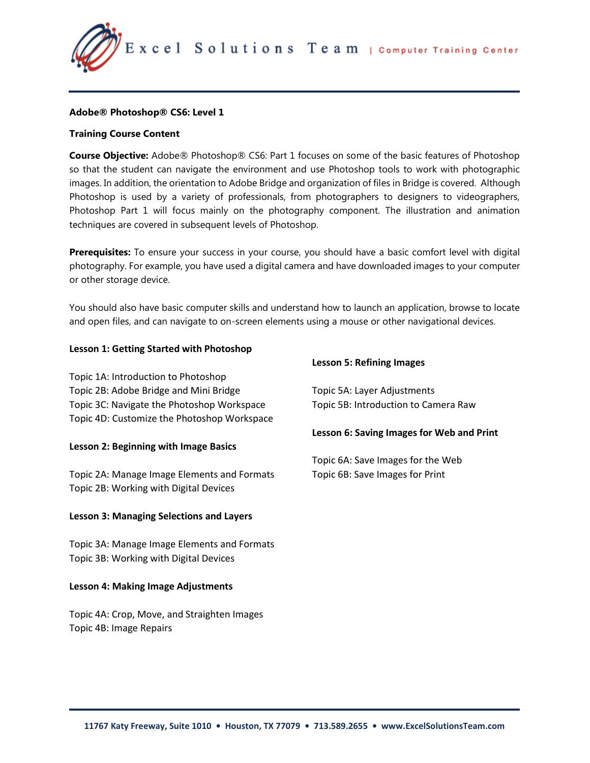Excel Solutions Team | Computer Training Center

# **Adobe® Photoshop® CS6: Level 1**

# **Training Course Content**

**Course Objective:** Adobe® Photoshop® CS6: Part 1 focuses on some of the basic features of Photoshop so that the student can navigate the environment and use Photoshop tools to work with photographic images. In addition, the orientation to Adobe Bridge and organization of files in Bridge is covered. Although Photoshop is used by a variety of professionals, from photographers to designers to videographers, Photoshop Part 1 will focus mainly on the photography component. The illustration and animation techniques are covered in subsequent levels of Photoshop.

**Prerequisites:** To ensure your success in your course, you should have a basic comfort level with digital photography. For example, you have used a digital camera and have downloaded images to your computer or other storage device.

You should also have basic computer skills and understand how to launch an application, browse to locate and open files, and can navigate to on-screen elements using a mouse or other navigational devices.

### **Lesson 1: Getting Started with Photoshop**

Topic 1A: Introduction to Photoshop Topic 2B: Adobe Bridge and Mini Bridge Topic 3C: Navigate the Photoshop Workspace Topic 4D: Customize the Photoshop Workspace

#### **Lesson 2: Beginning with Image Basics**

Topic 2A: Manage Image Elements and Formats Topic 2B: Working with Digital Devices

#### **Lesson 3: Managing Selections and Layers**

Topic 3A: Manage Image Elements and Formats Topic 3B: Working with Digital Devices

#### **Lesson 4: Making Image Adjustments**

Topic 4A: Crop, Move, and Straighten Images Topic 4B: Image Repairs

#### **Lesson 5: Refining Images**

Topic 5A: Layer Adjustments Topic 5B: Introduction to Camera Raw

#### **Lesson 6: Saving Images for Web and Print**

Topic 6A: Save Images for the Web Topic 6B: Save Images for Print